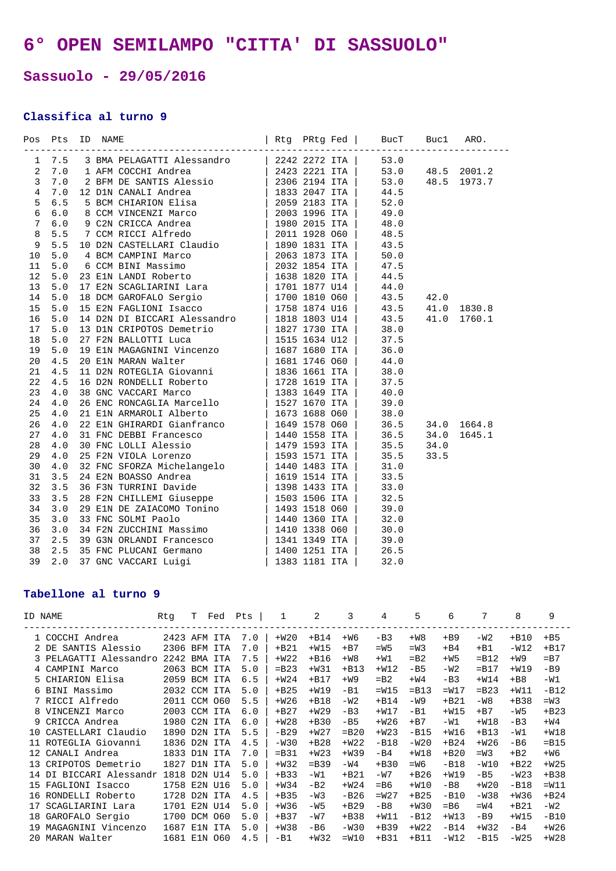## **6° OPEN SEMILAMPO "CITTA' DI SASSUOLO"**

## **Sassuolo - 29/05/2016**

## **Classifica al turno 9**

| Pos Pts ID NAME |  |  |  |  |  |
|-----------------|--|--|--|--|--|
|                 |  |  |  |  |  |
|                 |  |  |  |  |  |
|                 |  |  |  |  |  |
|                 |  |  |  |  |  |
|                 |  |  |  |  |  |
|                 |  |  |  |  |  |
|                 |  |  |  |  |  |
|                 |  |  |  |  |  |
|                 |  |  |  |  |  |
|                 |  |  |  |  |  |
|                 |  |  |  |  |  |
|                 |  |  |  |  |  |
|                 |  |  |  |  |  |
|                 |  |  |  |  |  |
|                 |  |  |  |  |  |
|                 |  |  |  |  |  |
|                 |  |  |  |  |  |
|                 |  |  |  |  |  |
|                 |  |  |  |  |  |
|                 |  |  |  |  |  |
|                 |  |  |  |  |  |
|                 |  |  |  |  |  |
|                 |  |  |  |  |  |
|                 |  |  |  |  |  |
|                 |  |  |  |  |  |
|                 |  |  |  |  |  |
|                 |  |  |  |  |  |
|                 |  |  |  |  |  |
|                 |  |  |  |  |  |
|                 |  |  |  |  |  |
|                 |  |  |  |  |  |
|                 |  |  |  |  |  |
|                 |  |  |  |  |  |
|                 |  |  |  |  |  |
|                 |  |  |  |  |  |
|                 |  |  |  |  |  |
|                 |  |  |  |  |  |
|                 |  |  |  |  |  |
|                 |  |  |  |  |  |
|                 |  |  |  |  |  |

## **Tabellone al turno 9**

| ID NAME |                        | Rtq          | T   | Fed        | Pts | 1       | 2       | 3       | 4      | 5       | 6      | 7       | 8      | 9       |
|---------|------------------------|--------------|-----|------------|-----|---------|---------|---------|--------|---------|--------|---------|--------|---------|
|         | 1 COCCHI Andrea        | 2423 AFM ITA |     |            | 7.0 | $+W20$  | $+B14$  | $+W6$   | $-B3$  | $+W8$   | $+B9$  | $-W2$   | $+B10$ | $+B5$   |
|         | 2 DE SANTIS Alessio    | 2306         | BFM | ITA        | 7.0 | $+B21$  | $+W15$  | $+B7$   | $=W5$  | $=W3$   | $+B4$  | $+B1$   | $-W12$ | $+B17$  |
|         | 3 PELAGATTI Alessandro | 2242         |     | BMA ITA    | 7.5 | $+W22$  | $+B16$  | $+W8$   | $+W1$  | $=$ B2  | $+W5$  | $=$ B12 | $+W9$  | $= B7$  |
|         | 4 CAMPINI Marco        | 2063 BCM     |     | ITA        | 5.0 | $=$ B23 | $+W31$  | $+B13$  | $+W12$ | $-B5$   | $-W2$  | $=$ B17 | $+W19$ | $-B9$   |
|         | 5 CHIARION Elisa       | 2059         | BCM | ITA        | 6.5 | $+W24$  | $+B17$  | $+W9$   | $= B2$ | $+W4$   | $-B3$  | $+W14$  | $+B8$  | $-W1$   |
|         | 6 BINI Massimo         | 2032 CCM ITA |     |            | 5.0 | $+B25$  | $+W19$  | $-B1$   | $=W15$ | $=$ B13 | $=W17$ | $=$ B23 | $+W11$ | $-B12$  |
|         | 7 RICCI Alfredo        | 2011 CCM 060 |     |            | 5.5 | $+W26$  | $+B18$  | $-W2$   | $+B14$ | $-W9$   | $+B21$ | $-W8$   | $+B38$ | $=W3$   |
| 8       | VINCENZI Marco         | 2003 CCM ITA |     |            | 6.0 | $+B27$  | $+W29$  | $-B3$   | $+W17$ | $-B1$   | $+W15$ | $+B7$   | $-W5$  | $+B23$  |
|         | 9 CRICCA Andrea        | 1980 C2N ITA |     |            | 6.0 | $+W28$  | $+B30$  | $-B5$   | $+W26$ | $+B7$   | $-W1$  | $+W18$  | $-B3$  | $+W4$   |
| 1 O     | CASTELLARI Claudio     | 1890         |     | D2N ITA    | 5.5 | $-B29$  | $+W27$  | $=$ B20 | $+W23$ | $-B15$  | $+W16$ | $+B13$  | $-W1$  | $+W18$  |
| 11      | ROTEGLIA Giovanni      | 1836 D2N ITA |     |            | 4.5 | $-W30$  | $+B28$  | $+W22$  | $-B18$ | $-W20$  | $+B24$ | $+W26$  | $-B6$  | $=$ B15 |
| 12      | CANALI Andrea          | 1833         |     | D1N ITA    | 7.0 | $=$ B31 | $+W23$  | $+W39$  | $-B4$  | $+W18$  | $+B20$ | $=W3$   | $+B2$  | $+W6$   |
| 13      | CRIPOTOS Demetrio      | 1827         |     | D1N ITA    | 5.0 | $+W32$  | $=$ B39 | $-W4$   | $+B30$ | $=W6$   | $-B18$ | $-W10$  | $+B22$ | $+W25$  |
| 14      | DI BICCARI Alessandr   | 1818         |     | D2N U14    | 5.0 | $+B33$  | $-W1$   | $+B21$  | $-W7$  | $+B26$  | $+W19$ | $-B5$   | $-W23$ | $+B38$  |
| 15      | FAGLIONI Isacco        | 1758         |     | E2N U16    | 5.0 | $+W34$  | $-B2$   | $+W24$  | $=$ B6 | $+W10$  | $-B8$  | $+W20$  | $-B18$ | $=W11$  |
| 16      | RONDELLI Roberto       | 1728         |     | D2N ITA    | 4.5 | $+B35$  | $-W3$   | $-B26$  | $=W27$ | $+B25$  | $-B10$ | $-W38$  | $+W36$ | $+B24$  |
| 17      | SCAGLIARINI Lara       | 1701         |     | E2N U14    | 5.0 | $+W36$  | $-W5$   | $+B29$  | $-B8$  | $+W30$  | $=$ B6 | $=W4$   | $+B21$ | $-W2$   |
| 18      | GAROFALO Sergio        | 1700         |     | DCM 060    | 5.0 | $+B37$  | $-W7$   | $+B38$  | $+W11$ | $-B12$  | $+W13$ | $-B9$   | $+W15$ | $-B10$  |
| 19      | MAGAGNINI Vincenzo     | 1687         | E1N | <b>ITA</b> | 5.0 | $+W38$  | $-B6$   | $-W30$  | $+B39$ | $+W22$  | $-B14$ | $+W32$  | $-B4$  | $+W26$  |
|         | 20 MARAN Walter        | 1681 E1N 060 |     |            | 4.5 | $-B1$   | $+W32$  | $=W10$  | $+B31$ | $+B11$  | $-W12$ | $-B15$  | $-W25$ | $+W28$  |